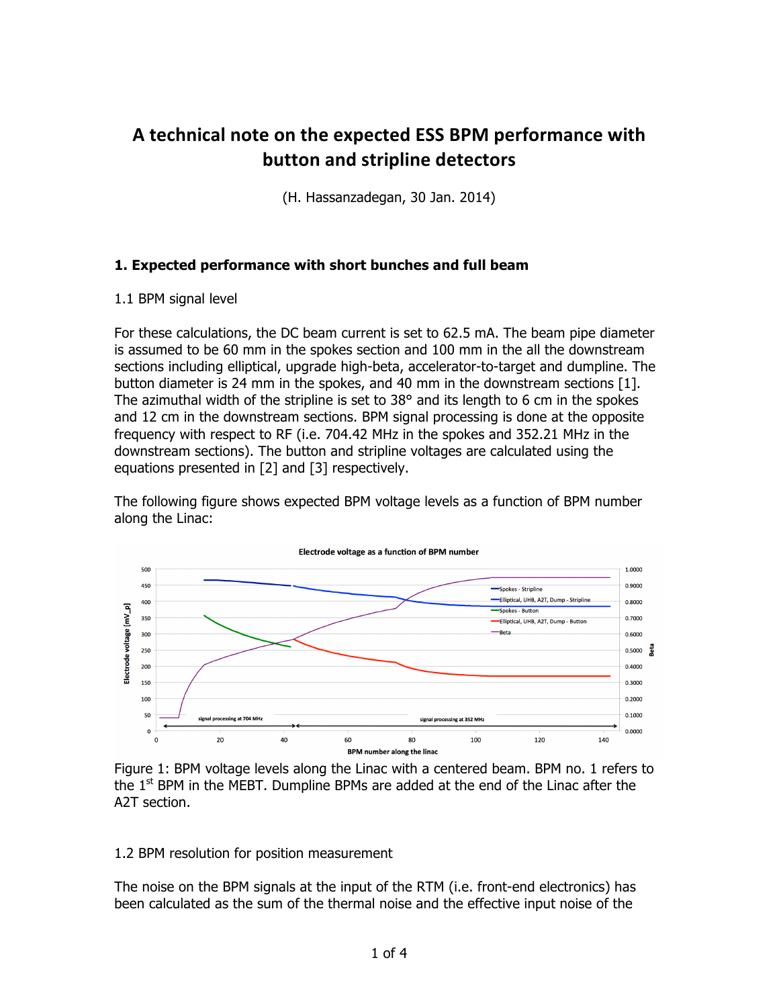# A technical note on the expected ESS BPM performance with **button and stripline detectors**

(H. Hassanzadegan, 30 Jan. 2014)

### **1. Expected performance with short bunches and full beam**

#### 1.1 BPM signal level

For these calculations, the DC beam current is set to 62.5 mA. The beam pipe diameter is assumed to be 60 mm in the spokes section and 100 mm in the all the downstream sections including elliptical, upgrade high-beta, accelerator-to-target and dumpline. The button diameter is 24 mm in the spokes, and 40 mm in the downstream sections [1]. The azimuthal width of the stripline is set to  $38^{\circ}$  and its length to 6 cm in the spokes and 12 cm in the downstream sections. BPM signal processing is done at the opposite frequency with respect to RF (i.e. 704.42 MHz in the spokes and 352.21 MHz in the downstream sections). The button and stripline voltages are calculated using the equations presented in [2] and [3] respectively.

The following figure shows expected BPM voltage levels as a function of BPM number along the Linac:



Figure 1: BPM voltage levels along the Linac with a centered beam. BPM no. 1 refers to the  $1<sup>st</sup>$  BPM in the MEBT. Dumpline BPMs are added at the end of the Linac after the A2T section.

#### 1.2 BPM resolution for position measurement

The noise on the BPM signals at the input of the RTM (i.e. front-end electronics) has been calculated as the sum of the thermal noise and the effective input noise of the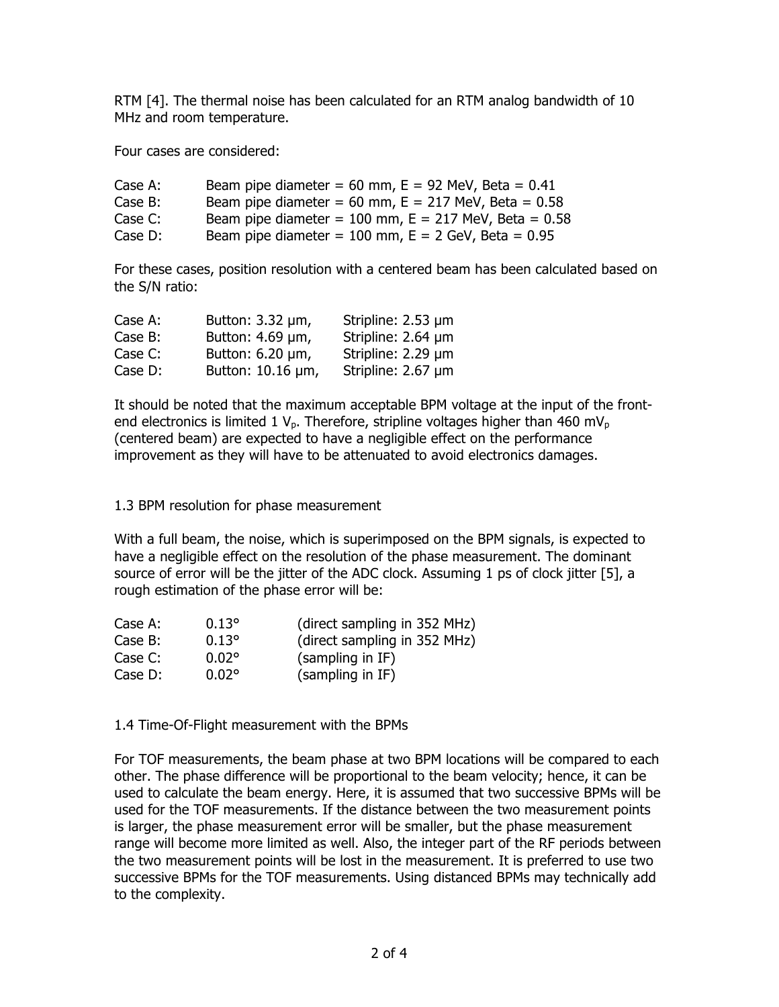RTM [4]. The thermal noise has been calculated for an RTM analog bandwidth of 10 MHz and room temperature.

Four cases are considered:

| Case A:    | Beam pipe diameter = $60$ mm, $E = 92$ MeV, Beta = $0.41$   |
|------------|-------------------------------------------------------------|
| Case $B$ : | Beam pipe diameter = 60 mm, $E = 217$ MeV, Beta = 0.58      |
| Case C:    | Beam pipe diameter = $100$ mm, E = $217$ MeV, Beta = $0.58$ |
| Case $D$ : | Beam pipe diameter = $100$ mm, E = $2$ GeV, Beta = $0.95$   |

For these cases, position resolution with a centered beam has been calculated based on the S/N ratio:

| Case A: | Button: $3.32 \mu m$ ,  | Stripline: 2.53 µm |
|---------|-------------------------|--------------------|
| Case B: | Button: 4.69 µm,        | Stripline: 2.64 µm |
| Case C: | Button: $6.20 \mu m$ ,  | Stripline: 2.29 µm |
| Case D: | Button: $10.16 \mu m$ , | Stripline: 2.67 µm |

It should be noted that the maximum acceptable BPM voltage at the input of the frontend electronics is limited 1  $V_p$ . Therefore, stripline voltages higher than 460 m $V_p$ (centered beam) are expected to have a negligible effect on the performance improvement as they will have to be attenuated to avoid electronics damages.

1.3 BPM resolution for phase measurement

With a full beam, the noise, which is superimposed on the BPM signals, is expected to have a negligible effect on the resolution of the phase measurement. The dominant source of error will be the jitter of the ADC clock. Assuming 1 ps of clock jitter [5], a rough estimation of the phase error will be:

| Case A: | $0.13^{\circ}$ | (direct sampling in 352 MHz) |
|---------|----------------|------------------------------|
| Case B: | $0.13^{\circ}$ | (direct sampling in 352 MHz) |
| Case C: | $0.02^{\circ}$ | (sampling in IF)             |
| Case D: | $0.02^{\circ}$ | (sampling in IF)             |

1.4 Time-Of-Flight measurement with the BPMs

For TOF measurements, the beam phase at two BPM locations will be compared to each other. The phase difference will be proportional to the beam velocity; hence, it can be used to calculate the beam energy. Here, it is assumed that two successive BPMs will be used for the TOF measurements. If the distance between the two measurement points is larger, the phase measurement error will be smaller, but the phase measurement range will become more limited as well. Also, the integer part of the RF periods between the two measurement points will be lost in the measurement. It is preferred to use two successive BPMs for the TOF measurements. Using distanced BPMs may technically add to the complexity.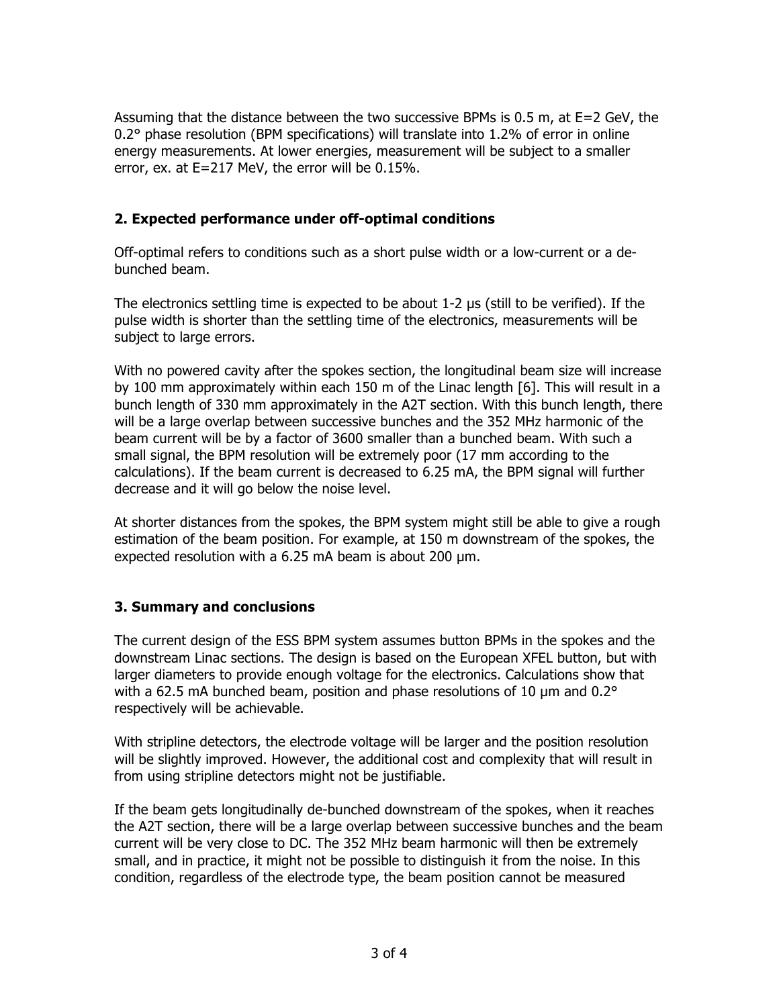Assuming that the distance between the two successive BPMs is 0.5 m, at E=2 GeV, the 0.2° phase resolution (BPM specifications) will translate into 1.2% of error in online energy measurements. At lower energies, measurement will be subject to a smaller error, ex. at E=217 MeV, the error will be 0.15%.

## **2. Expected performance under off-optimal conditions**

Off-optimal refers to conditions such as a short pulse width or a low-current or a debunched beam.

The electronics settling time is expected to be about 1-2 µs (still to be verified). If the pulse width is shorter than the settling time of the electronics, measurements will be subject to large errors.

With no powered cavity after the spokes section, the longitudinal beam size will increase by 100 mm approximately within each 150 m of the Linac length [6]. This will result in a bunch length of 330 mm approximately in the A2T section. With this bunch length, there will be a large overlap between successive bunches and the 352 MHz harmonic of the beam current will be by a factor of 3600 smaller than a bunched beam. With such a small signal, the BPM resolution will be extremely poor (17 mm according to the calculations). If the beam current is decreased to 6.25 mA, the BPM signal will further decrease and it will go below the noise level.

At shorter distances from the spokes, the BPM system might still be able to give a rough estimation of the beam position. For example, at 150 m downstream of the spokes, the expected resolution with a 6.25 mA beam is about 200 µm.

## **3. Summary and conclusions**

The current design of the ESS BPM system assumes button BPMs in the spokes and the downstream Linac sections. The design is based on the European XFEL button, but with larger diameters to provide enough voltage for the electronics. Calculations show that with a 62.5 mA bunched beam, position and phase resolutions of 10  $\mu$ m and 0.2 $\degree$ respectively will be achievable.

With stripline detectors, the electrode voltage will be larger and the position resolution will be slightly improved. However, the additional cost and complexity that will result in from using stripline detectors might not be justifiable.

If the beam gets longitudinally de-bunched downstream of the spokes, when it reaches the A2T section, there will be a large overlap between successive bunches and the beam current will be very close to DC. The 352 MHz beam harmonic will then be extremely small, and in practice, it might not be possible to distinguish it from the noise. In this condition, regardless of the electrode type, the beam position cannot be measured